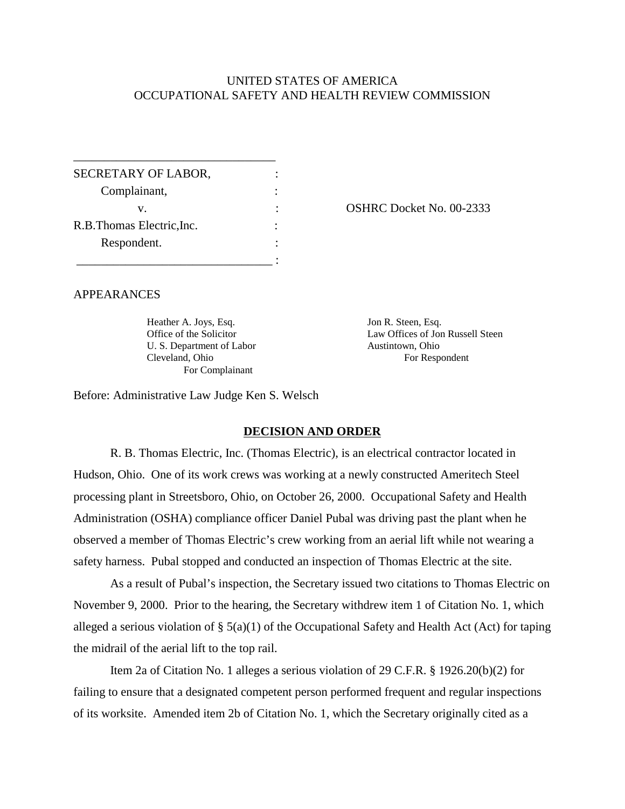# UNITED STATES OF AMERICA OCCUPATIONAL SAFETY AND HEALTH REVIEW COMMISSION

| SECRETARY OF LABOR,        |  |
|----------------------------|--|
| Complainant,               |  |
| V.                         |  |
| R.B. Thomas Electric, Inc. |  |
| Respondent.                |  |
|                            |  |

\_\_\_\_\_\_\_\_\_\_\_\_\_\_\_\_\_\_\_\_\_\_\_\_\_\_\_\_\_\_\_\_\_

OSHRC Docket No. 00-2333

# APPEARANCES

Heather A. Joys, Esq. Office of the Solicitor U. S. Department of Labor Cleveland, Ohio For Complainant

Jon R. Steen, Esq. Law Offices of Jon Russell Steen Austintown, Ohio For Respondent

Before: Administrative Law Judge Ken S. Welsch

## **DECISION AND ORDER**

R. B. Thomas Electric, Inc. (Thomas Electric), is an electrical contractor located in Hudson, Ohio. One of its work crews was working at a newly constructed Ameritech Steel processing plant in Streetsboro, Ohio, on October 26, 2000. Occupational Safety and Health Administration (OSHA) compliance officer Daniel Pubal was driving past the plant when he observed a member of Thomas Electric's crew working from an aerial lift while not wearing a safety harness. Pubal stopped and conducted an inspection of Thomas Electric at the site.

As a result of Pubal's inspection, the Secretary issued two citations to Thomas Electric on November 9, 2000. Prior to the hearing, the Secretary withdrew item 1 of Citation No. 1, which alleged a serious violation of § 5(a)(1) of the Occupational Safety and Health Act (Act) for taping the midrail of the aerial lift to the top rail.

Item 2a of Citation No. 1 alleges a serious violation of 29 C.F.R. § 1926.20(b)(2) for failing to ensure that a designated competent person performed frequent and regular inspections of its worksite. Amended item 2b of Citation No. 1, which the Secretary originally cited as a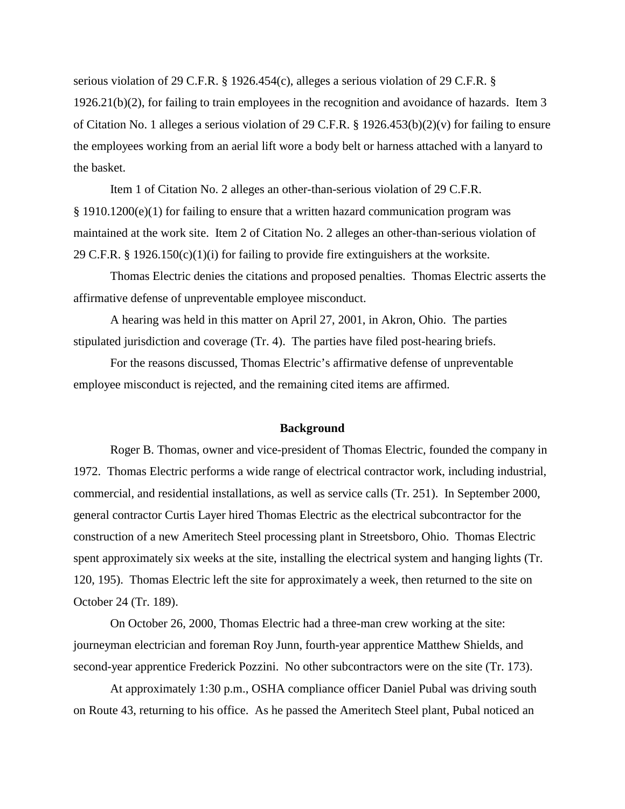serious violation of 29 C.F.R. § 1926.454(c), alleges a serious violation of 29 C.F.R. § 1926.21(b)(2), for failing to train employees in the recognition and avoidance of hazards. Item 3 of Citation No. 1 alleges a serious violation of 29 C.F.R. § 1926.453(b)(2)(v) for failing to ensure the employees working from an aerial lift wore a body belt or harness attached with a lanyard to the basket.

Item 1 of Citation No. 2 alleges an other-than-serious violation of 29 C.F.R.  $§$  1910.1200(e)(1) for failing to ensure that a written hazard communication program was maintained at the work site. Item 2 of Citation No. 2 alleges an other-than-serious violation of 29 C.F.R. § 1926.150(c)(1)(i) for failing to provide fire extinguishers at the worksite.

Thomas Electric denies the citations and proposed penalties. Thomas Electric asserts the affirmative defense of unpreventable employee misconduct.

A hearing was held in this matter on April 27, 2001, in Akron, Ohio. The parties stipulated jurisdiction and coverage (Tr. 4). The parties have filed post-hearing briefs.

For the reasons discussed, Thomas Electric's affirmative defense of unpreventable employee misconduct is rejected, and the remaining cited items are affirmed.

### **Background**

Roger B. Thomas, owner and vice-president of Thomas Electric, founded the company in 1972. Thomas Electric performs a wide range of electrical contractor work, including industrial, commercial, and residential installations, as well as service calls (Tr. 251). In September 2000, general contractor Curtis Layer hired Thomas Electric as the electrical subcontractor for the construction of a new Ameritech Steel processing plant in Streetsboro, Ohio. Thomas Electric spent approximately six weeks at the site, installing the electrical system and hanging lights (Tr. 120, 195). Thomas Electric left the site for approximately a week, then returned to the site on October 24 (Tr. 189).

On October 26, 2000, Thomas Electric had a three-man crew working at the site: journeyman electrician and foreman Roy Junn, fourth-year apprentice Matthew Shields, and second-year apprentice Frederick Pozzini. No other subcontractors were on the site (Tr. 173).

At approximately 1:30 p.m., OSHA compliance officer Daniel Pubal was driving south on Route 43, returning to his office. As he passed the Ameritech Steel plant, Pubal noticed an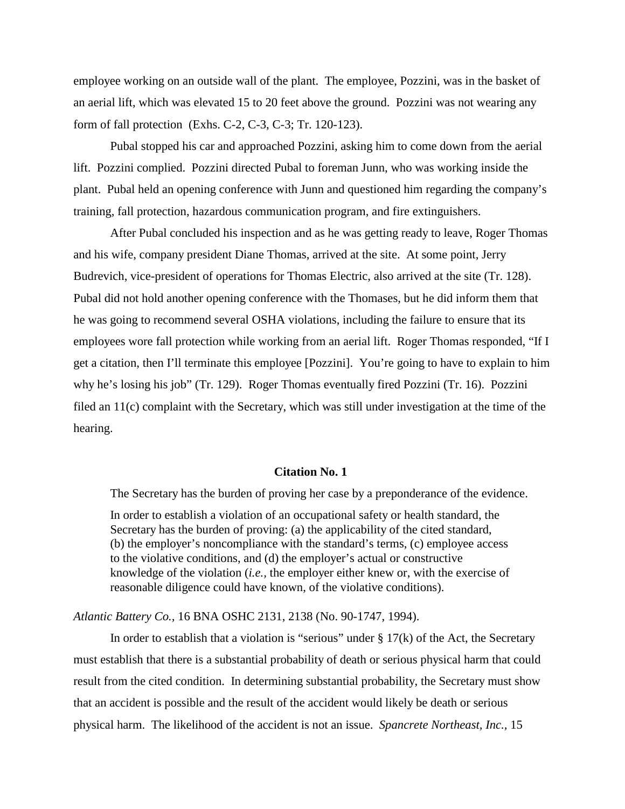employee working on an outside wall of the plant. The employee, Pozzini, was in the basket of an aerial lift, which was elevated 15 to 20 feet above the ground. Pozzini was not wearing any form of fall protection (Exhs. C-2, C-3, C-3; Tr. 120-123).

Pubal stopped his car and approached Pozzini, asking him to come down from the aerial lift. Pozzini complied. Pozzini directed Pubal to foreman Junn, who was working inside the plant. Pubal held an opening conference with Junn and questioned him regarding the company's training, fall protection, hazardous communication program, and fire extinguishers.

After Pubal concluded his inspection and as he was getting ready to leave, Roger Thomas and his wife, company president Diane Thomas, arrived at the site. At some point, Jerry Budrevich, vice-president of operations for Thomas Electric, also arrived at the site (Tr. 128). Pubal did not hold another opening conference with the Thomases, but he did inform them that he was going to recommend several OSHA violations, including the failure to ensure that its employees wore fall protection while working from an aerial lift. Roger Thomas responded, "If I get a citation, then I'll terminate this employee [Pozzini]. You're going to have to explain to him why he's losing his job" (Tr. 129). Roger Thomas eventually fired Pozzini (Tr. 16). Pozzini filed an 11(c) complaint with the Secretary, which was still under investigation at the time of the hearing.

#### **Citation No. 1**

The Secretary has the burden of proving her case by a preponderance of the evidence.

In order to establish a violation of an occupational safety or health standard, the Secretary has the burden of proving: (a) the applicability of the cited standard, (b) the employer's noncompliance with the standard's terms, (c) employee access to the violative conditions, and (d) the employer's actual or constructive knowledge of the violation (*i.e.,* the employer either knew or, with the exercise of reasonable diligence could have known, of the violative conditions).

*Atlantic Battery Co.,* 16 BNA OSHC 2131, 2138 (No. 90-1747, 1994).

In order to establish that a violation is "serious" under  $\S 17(k)$  of the Act, the Secretary must establish that there is a substantial probability of death or serious physical harm that could result from the cited condition. In determining substantial probability, the Secretary must show that an accident is possible and the result of the accident would likely be death or serious physical harm. The likelihood of the accident is not an issue. *Spancrete Northeast, Inc.,* 15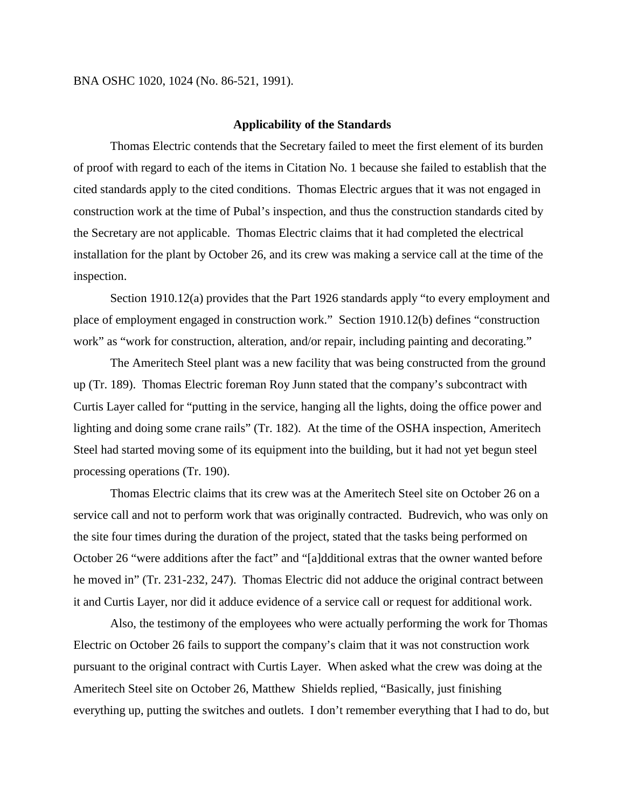#### BNA OSHC 1020, 1024 (No. 86-521, 1991).

#### **Applicability of the Standards**

Thomas Electric contends that the Secretary failed to meet the first element of its burden of proof with regard to each of the items in Citation No. 1 because she failed to establish that the cited standards apply to the cited conditions. Thomas Electric argues that it was not engaged in construction work at the time of Pubal's inspection, and thus the construction standards cited by the Secretary are not applicable. Thomas Electric claims that it had completed the electrical installation for the plant by October 26, and its crew was making a service call at the time of the inspection.

Section 1910.12(a) provides that the Part 1926 standards apply "to every employment and place of employment engaged in construction work." Section 1910.12(b) defines "construction work" as "work for construction, alteration, and/or repair, including painting and decorating."

The Ameritech Steel plant was a new facility that was being constructed from the ground up (Tr. 189). Thomas Electric foreman Roy Junn stated that the company's subcontract with Curtis Layer called for "putting in the service, hanging all the lights, doing the office power and lighting and doing some crane rails" (Tr. 182). At the time of the OSHA inspection, Ameritech Steel had started moving some of its equipment into the building, but it had not yet begun steel processing operations (Tr. 190).

Thomas Electric claims that its crew was at the Ameritech Steel site on October 26 on a service call and not to perform work that was originally contracted. Budrevich, who was only on the site four times during the duration of the project, stated that the tasks being performed on October 26 "were additions after the fact" and "[a]dditional extras that the owner wanted before he moved in" (Tr. 231-232, 247). Thomas Electric did not adduce the original contract between it and Curtis Layer, nor did it adduce evidence of a service call or request for additional work.

Also, the testimony of the employees who were actually performing the work for Thomas Electric on October 26 fails to support the company's claim that it was not construction work pursuant to the original contract with Curtis Layer. When asked what the crew was doing at the Ameritech Steel site on October 26, Matthew Shields replied, "Basically, just finishing everything up, putting the switches and outlets. I don't remember everything that I had to do, but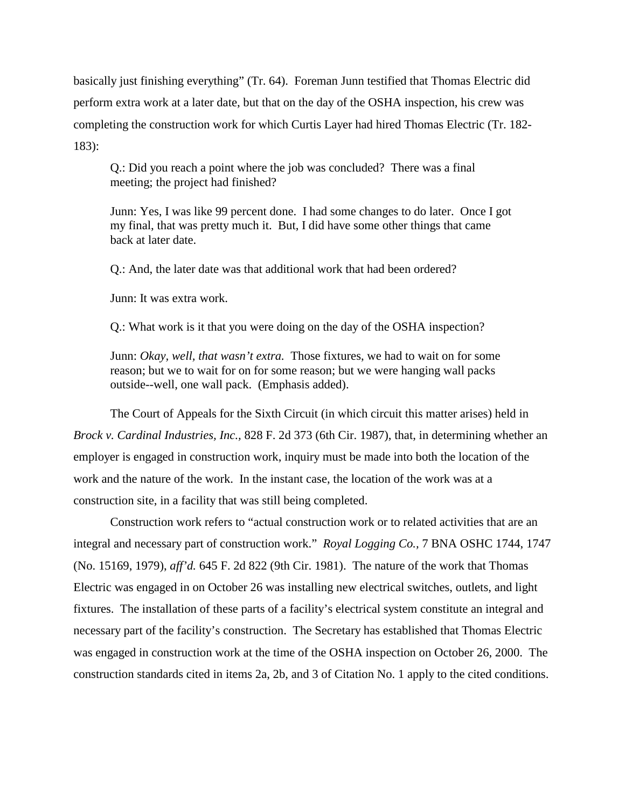basically just finishing everything" (Tr. 64). Foreman Junn testified that Thomas Electric did perform extra work at a later date, but that on the day of the OSHA inspection, his crew was completing the construction work for which Curtis Layer had hired Thomas Electric (Tr. 182- 183):

Q.: Did you reach a point where the job was concluded? There was a final meeting; the project had finished?

Junn: Yes, I was like 99 percent done. I had some changes to do later. Once I got my final, that was pretty much it. But, I did have some other things that came back at later date.

Q.: And, the later date was that additional work that had been ordered?

Junn: It was extra work.

Q.: What work is it that you were doing on the day of the OSHA inspection?

Junn: *Okay, well, that wasn't extra.* Those fixtures, we had to wait on for some reason; but we to wait for on for some reason; but we were hanging wall packs outside--well, one wall pack. (Emphasis added).

The Court of Appeals for the Sixth Circuit (in which circuit this matter arises) held in *Brock v. Cardinal Industries, Inc.,* 828 F. 2d 373 (6th Cir. 1987), that, in determining whether an employer is engaged in construction work, inquiry must be made into both the location of the work and the nature of the work. In the instant case, the location of the work was at a construction site, in a facility that was still being completed.

Construction work refers to "actual construction work or to related activities that are an integral and necessary part of construction work." *Royal Logging Co.,* 7 BNA OSHC 1744, 1747 (No. 15169, 1979), *aff'd.* 645 F. 2d 822 (9th Cir. 1981). The nature of the work that Thomas Electric was engaged in on October 26 was installing new electrical switches, outlets, and light fixtures. The installation of these parts of a facility's electrical system constitute an integral and necessary part of the facility's construction. The Secretary has established that Thomas Electric was engaged in construction work at the time of the OSHA inspection on October 26, 2000. The construction standards cited in items 2a, 2b, and 3 of Citation No. 1 apply to the cited conditions.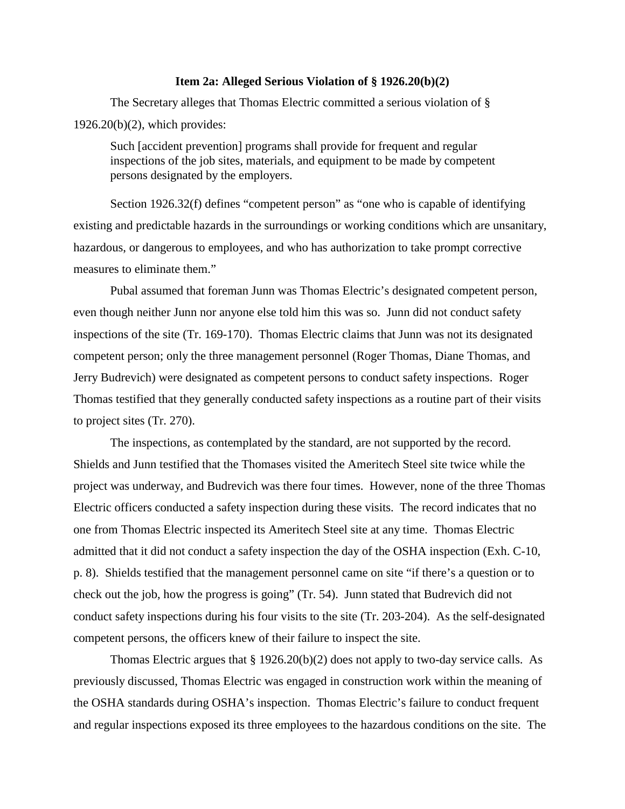### **Item 2a: Alleged Serious Violation of § 1926.20(b)(2)**

The Secretary alleges that Thomas Electric committed a serious violation of §  $1926.20(b)(2)$ , which provides:

Such [accident prevention] programs shall provide for frequent and regular inspections of the job sites, materials, and equipment to be made by competent persons designated by the employers.

Section 1926.32(f) defines "competent person" as "one who is capable of identifying existing and predictable hazards in the surroundings or working conditions which are unsanitary, hazardous, or dangerous to employees, and who has authorization to take prompt corrective measures to eliminate them."

Pubal assumed that foreman Junn was Thomas Electric's designated competent person, even though neither Junn nor anyone else told him this was so. Junn did not conduct safety inspections of the site (Tr. 169-170). Thomas Electric claims that Junn was not its designated competent person; only the three management personnel (Roger Thomas, Diane Thomas, and Jerry Budrevich) were designated as competent persons to conduct safety inspections. Roger Thomas testified that they generally conducted safety inspections as a routine part of their visits to project sites (Tr. 270).

The inspections, as contemplated by the standard, are not supported by the record. Shields and Junn testified that the Thomases visited the Ameritech Steel site twice while the project was underway, and Budrevich was there four times. However, none of the three Thomas Electric officers conducted a safety inspection during these visits. The record indicates that no one from Thomas Electric inspected its Ameritech Steel site at any time. Thomas Electric admitted that it did not conduct a safety inspection the day of the OSHA inspection (Exh. C-10, p. 8). Shields testified that the management personnel came on site "if there's a question or to check out the job, how the progress is going" (Tr. 54). Junn stated that Budrevich did not conduct safety inspections during his four visits to the site (Tr. 203-204). As the self-designated competent persons, the officers knew of their failure to inspect the site.

Thomas Electric argues that § 1926.20(b)(2) does not apply to two-day service calls. As previously discussed, Thomas Electric was engaged in construction work within the meaning of the OSHA standards during OSHA's inspection. Thomas Electric's failure to conduct frequent and regular inspections exposed its three employees to the hazardous conditions on the site. The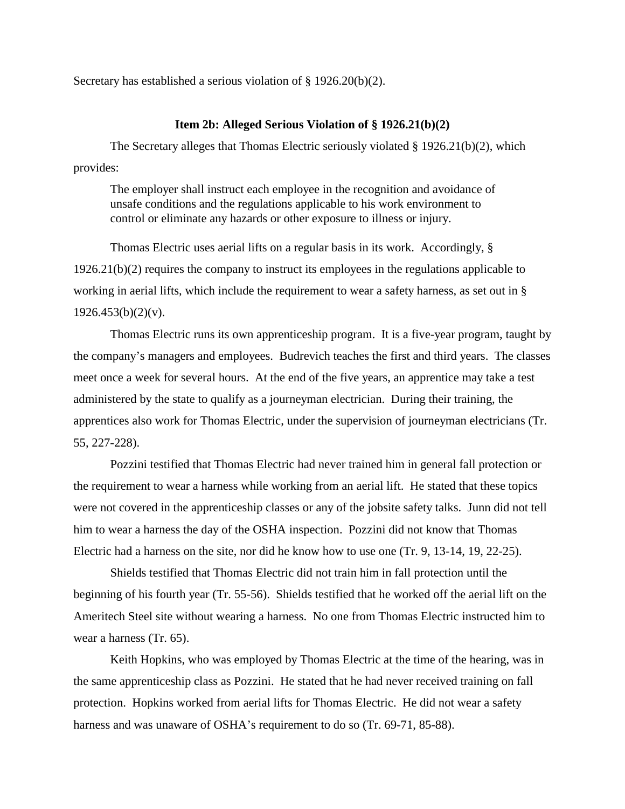Secretary has established a serious violation of § 1926.20(b)(2).

### **Item 2b: Alleged Serious Violation of § 1926.21(b)(2)**

The Secretary alleges that Thomas Electric seriously violated § 1926.21(b)(2), which provides:

The employer shall instruct each employee in the recognition and avoidance of unsafe conditions and the regulations applicable to his work environment to control or eliminate any hazards or other exposure to illness or injury.

Thomas Electric uses aerial lifts on a regular basis in its work. Accordingly, § 1926.21(b)(2) requires the company to instruct its employees in the regulations applicable to working in aerial lifts, which include the requirement to wear a safety harness, as set out in §  $1926.453(b)(2)(v)$ .

Thomas Electric runs its own apprenticeship program. It is a five-year program, taught by the company's managers and employees. Budrevich teaches the first and third years. The classes meet once a week for several hours. At the end of the five years, an apprentice may take a test administered by the state to qualify as a journeyman electrician. During their training, the apprentices also work for Thomas Electric, under the supervision of journeyman electricians (Tr. 55, 227-228).

Pozzini testified that Thomas Electric had never trained him in general fall protection or the requirement to wear a harness while working from an aerial lift. He stated that these topics were not covered in the apprenticeship classes or any of the jobsite safety talks. Junn did not tell him to wear a harness the day of the OSHA inspection. Pozzini did not know that Thomas Electric had a harness on the site, nor did he know how to use one (Tr. 9, 13-14, 19, 22-25).

Shields testified that Thomas Electric did not train him in fall protection until the beginning of his fourth year (Tr. 55-56). Shields testified that he worked off the aerial lift on the Ameritech Steel site without wearing a harness. No one from Thomas Electric instructed him to wear a harness (Tr. 65).

Keith Hopkins, who was employed by Thomas Electric at the time of the hearing, was in the same apprenticeship class as Pozzini. He stated that he had never received training on fall protection. Hopkins worked from aerial lifts for Thomas Electric. He did not wear a safety harness and was unaware of OSHA's requirement to do so (Tr. 69-71, 85-88).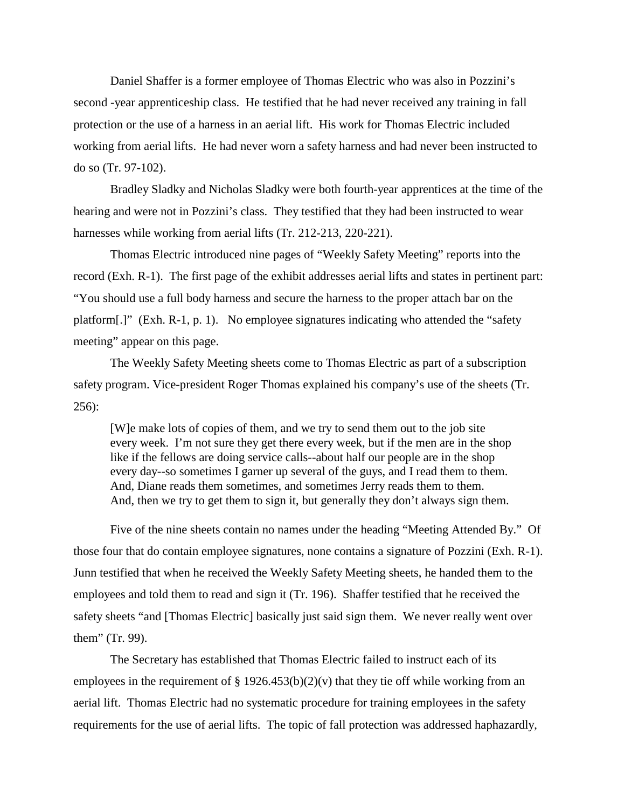Daniel Shaffer is a former employee of Thomas Electric who was also in Pozzini's second -year apprenticeship class. He testified that he had never received any training in fall protection or the use of a harness in an aerial lift. His work for Thomas Electric included working from aerial lifts. He had never worn a safety harness and had never been instructed to do so (Tr. 97-102).

Bradley Sladky and Nicholas Sladky were both fourth-year apprentices at the time of the hearing and were not in Pozzini's class. They testified that they had been instructed to wear harnesses while working from aerial lifts (Tr. 212-213, 220-221).

Thomas Electric introduced nine pages of "Weekly Safety Meeting" reports into the record (Exh. R-1). The first page of the exhibit addresses aerial lifts and states in pertinent part: "You should use a full body harness and secure the harness to the proper attach bar on the platform[.]" (Exh. R-1, p. 1). No employee signatures indicating who attended the "safety meeting" appear on this page.

The Weekly Safety Meeting sheets come to Thomas Electric as part of a subscription safety program. Vice-president Roger Thomas explained his company's use of the sheets (Tr. 256):

[W]e make lots of copies of them, and we try to send them out to the job site every week. I'm not sure they get there every week, but if the men are in the shop like if the fellows are doing service calls--about half our people are in the shop every day--so sometimes I garner up several of the guys, and I read them to them. And, Diane reads them sometimes, and sometimes Jerry reads them to them. And, then we try to get them to sign it, but generally they don't always sign them.

Five of the nine sheets contain no names under the heading "Meeting Attended By." Of those four that do contain employee signatures, none contains a signature of Pozzini (Exh. R-1). Junn testified that when he received the Weekly Safety Meeting sheets, he handed them to the employees and told them to read and sign it (Tr. 196). Shaffer testified that he received the safety sheets "and [Thomas Electric] basically just said sign them. We never really went over them" (Tr. 99).

The Secretary has established that Thomas Electric failed to instruct each of its employees in the requirement of  $\S 1926.453(b)(2)(v)$  that they tie off while working from an aerial lift. Thomas Electric had no systematic procedure for training employees in the safety requirements for the use of aerial lifts. The topic of fall protection was addressed haphazardly,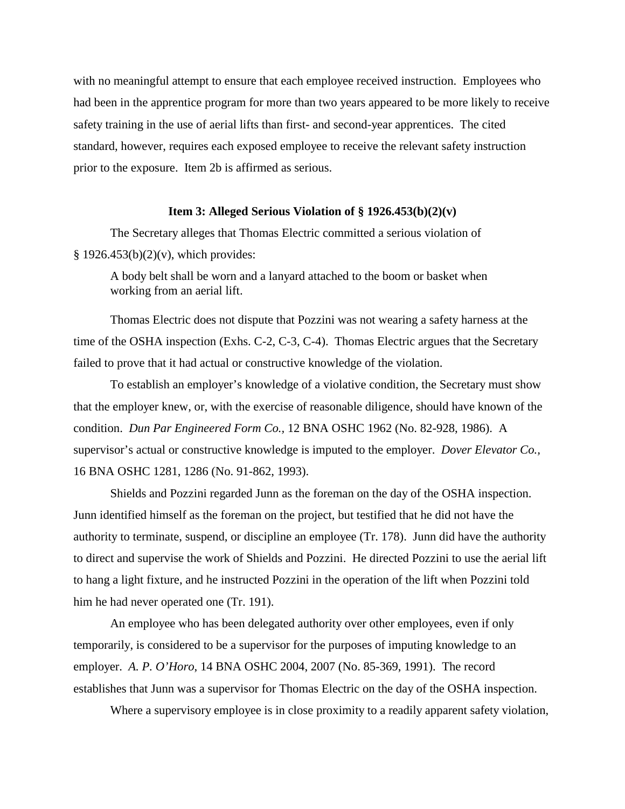with no meaningful attempt to ensure that each employee received instruction. Employees who had been in the apprentice program for more than two years appeared to be more likely to receive safety training in the use of aerial lifts than first- and second-year apprentices. The cited standard, however, requires each exposed employee to receive the relevant safety instruction prior to the exposure. Item 2b is affirmed as serious.

#### **Item 3: Alleged Serious Violation of § 1926.453(b)(2)(v)**

The Secretary alleges that Thomas Electric committed a serious violation of  $§ 1926.453(b)(2)(v)$ , which provides:

A body belt shall be worn and a lanyard attached to the boom or basket when working from an aerial lift.

Thomas Electric does not dispute that Pozzini was not wearing a safety harness at the time of the OSHA inspection (Exhs. C-2, C-3, C-4). Thomas Electric argues that the Secretary failed to prove that it had actual or constructive knowledge of the violation.

To establish an employer's knowledge of a violative condition, the Secretary must show that the employer knew, or, with the exercise of reasonable diligence, should have known of the condition. *Dun Par Engineered Form Co.,* 12 BNA OSHC 1962 (No. 82-928, 1986). A supervisor's actual or constructive knowledge is imputed to the employer. *Dover Elevator Co.,*  16 BNA OSHC 1281, 1286 (No. 91-862, 1993).

Shields and Pozzini regarded Junn as the foreman on the day of the OSHA inspection. Junn identified himself as the foreman on the project, but testified that he did not have the authority to terminate, suspend, or discipline an employee (Tr. 178). Junn did have the authority to direct and supervise the work of Shields and Pozzini. He directed Pozzini to use the aerial lift to hang a light fixture, and he instructed Pozzini in the operation of the lift when Pozzini told him he had never operated one (Tr. 191).

An employee who has been delegated authority over other employees, even if only temporarily, is considered to be a supervisor for the purposes of imputing knowledge to an employer. *A. P. O'Horo*, 14 BNA OSHC 2004, 2007 (No. 85-369, 1991). The record establishes that Junn was a supervisor for Thomas Electric on the day of the OSHA inspection.

Where a supervisory employee is in close proximity to a readily apparent safety violation,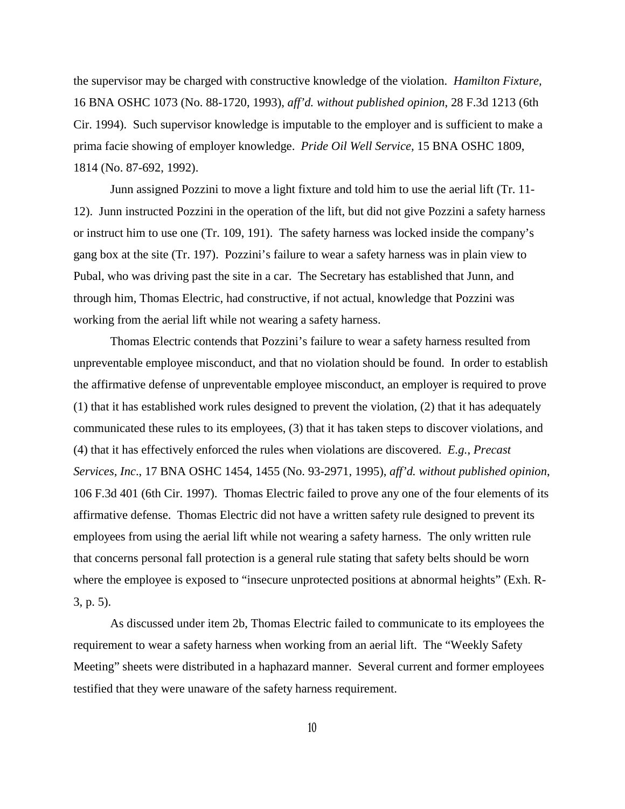the supervisor may be charged with constructive knowledge of the violation. *Hamilton Fixture,*  16 BNA OSHC 1073 (No. 88-1720, 1993), *aff'd. without published opinion*, 28 F.3d 1213 (6th Cir. 1994). Such supervisor knowledge is imputable to the employer and is sufficient to make a prima facie showing of employer knowledge. *Pride Oil Well Service,* 15 BNA OSHC 1809, 1814 (No. 87-692, 1992).

Junn assigned Pozzini to move a light fixture and told him to use the aerial lift (Tr. 11- 12). Junn instructed Pozzini in the operation of the lift, but did not give Pozzini a safety harness or instruct him to use one (Tr. 109, 191). The safety harness was locked inside the company's gang box at the site (Tr. 197). Pozzini's failure to wear a safety harness was in plain view to Pubal, who was driving past the site in a car. The Secretary has established that Junn, and through him, Thomas Electric, had constructive, if not actual, knowledge that Pozzini was working from the aerial lift while not wearing a safety harness.

Thomas Electric contends that Pozzini's failure to wear a safety harness resulted from unpreventable employee misconduct, and that no violation should be found. In order to establish the affirmative defense of unpreventable employee misconduct, an employer is required to prove (1) that it has established work rules designed to prevent the violation, (2) that it has adequately communicated these rules to its employees, (3) that it has taken steps to discover violations, and (4) that it has effectively enforced the rules when violations are discovered. *E.g.*, *Precast Services, Inc*., 17 BNA OSHC 1454, 1455 (No. 93-2971, 1995), *aff'd. without published opinion*, 106 F.3d 401 (6th Cir. 1997). Thomas Electric failed to prove any one of the four elements of its affirmative defense. Thomas Electric did not have a written safety rule designed to prevent its employees from using the aerial lift while not wearing a safety harness. The only written rule that concerns personal fall protection is a general rule stating that safety belts should be worn where the employee is exposed to "insecure unprotected positions at abnormal heights" (Exh. R-3, p. 5).

As discussed under item 2b, Thomas Electric failed to communicate to its employees the requirement to wear a safety harness when working from an aerial lift. The "Weekly Safety Meeting" sheets were distributed in a haphazard manner. Several current and former employees testified that they were unaware of the safety harness requirement.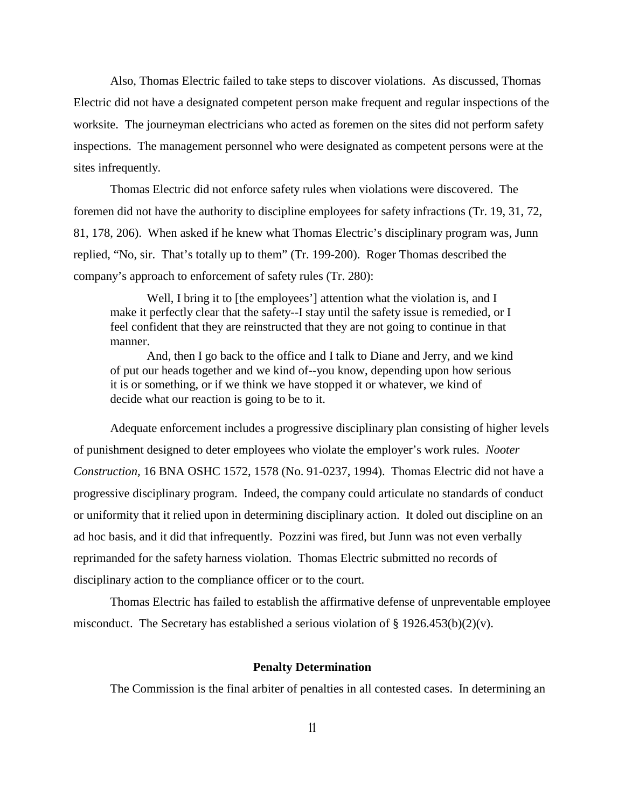Also, Thomas Electric failed to take steps to discover violations. As discussed, Thomas Electric did not have a designated competent person make frequent and regular inspections of the worksite. The journeyman electricians who acted as foremen on the sites did not perform safety inspections. The management personnel who were designated as competent persons were at the sites infrequently.

Thomas Electric did not enforce safety rules when violations were discovered. The foremen did not have the authority to discipline employees for safety infractions (Tr. 19, 31, 72, 81, 178, 206). When asked if he knew what Thomas Electric's disciplinary program was, Junn replied, "No, sir. That's totally up to them" (Tr. 199-200). Roger Thomas described the company's approach to enforcement of safety rules (Tr. 280):

Well, I bring it to [the employees'] attention what the violation is, and I make it perfectly clear that the safety--I stay until the safety issue is remedied, or I feel confident that they are reinstructed that they are not going to continue in that manner.

And, then I go back to the office and I talk to Diane and Jerry, and we kind of put our heads together and we kind of--you know, depending upon how serious it is or something, or if we think we have stopped it or whatever, we kind of decide what our reaction is going to be to it.

Adequate enforcement includes a progressive disciplinary plan consisting of higher levels of punishment designed to deter employees who violate the employer's work rules. *Nooter Construction,* 16 BNA OSHC 1572, 1578 (No. 91-0237, 1994). Thomas Electric did not have a progressive disciplinary program. Indeed, the company could articulate no standards of conduct or uniformity that it relied upon in determining disciplinary action. It doled out discipline on an ad hoc basis, and it did that infrequently. Pozzini was fired, but Junn was not even verbally reprimanded for the safety harness violation. Thomas Electric submitted no records of disciplinary action to the compliance officer or to the court.

Thomas Electric has failed to establish the affirmative defense of unpreventable employee misconduct. The Secretary has established a serious violation of § 1926.453(b)(2)(v).

#### **Penalty Determination**

The Commission is the final arbiter of penalties in all contested cases. In determining an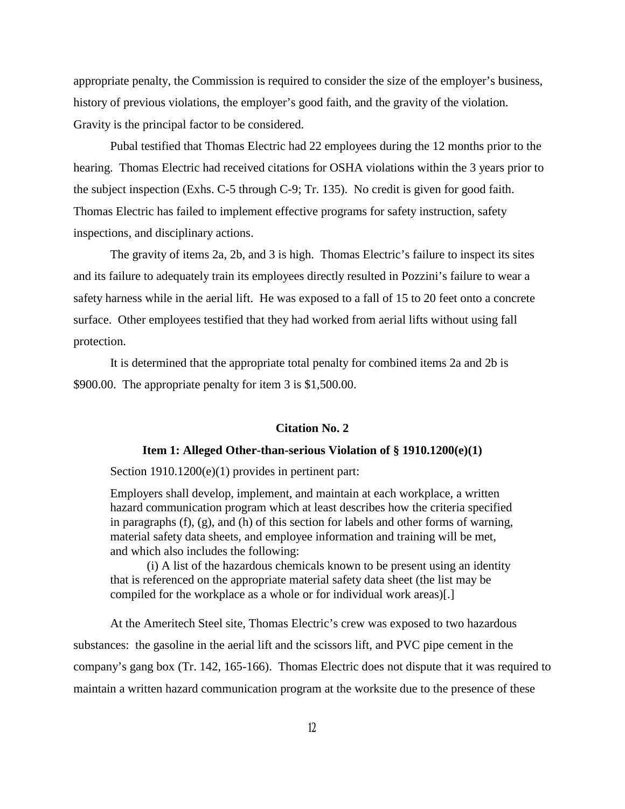appropriate penalty, the Commission is required to consider the size of the employer's business, history of previous violations, the employer's good faith, and the gravity of the violation. Gravity is the principal factor to be considered.

Pubal testified that Thomas Electric had 22 employees during the 12 months prior to the hearing. Thomas Electric had received citations for OSHA violations within the 3 years prior to the subject inspection (Exhs. C-5 through C-9; Tr. 135). No credit is given for good faith. Thomas Electric has failed to implement effective programs for safety instruction, safety inspections, and disciplinary actions.

The gravity of items 2a, 2b, and 3 is high. Thomas Electric's failure to inspect its sites and its failure to adequately train its employees directly resulted in Pozzini's failure to wear a safety harness while in the aerial lift. He was exposed to a fall of 15 to 20 feet onto a concrete surface. Other employees testified that they had worked from aerial lifts without using fall protection.

It is determined that the appropriate total penalty for combined items 2a and 2b is \$900.00. The appropriate penalty for item 3 is \$1,500.00.

### **Citation No. 2**

### **Item 1: Alleged Other-than-serious Violation of § 1910.1200(e)(1)**

Section 1910.1200(e)(1) provides in pertinent part:

Employers shall develop, implement, and maintain at each workplace, a written hazard communication program which at least describes how the criteria specified in paragraphs (f), (g), and (h) of this section for labels and other forms of warning, material safety data sheets, and employee information and training will be met, and which also includes the following:

(i) A list of the hazardous chemicals known to be present using an identity that is referenced on the appropriate material safety data sheet (the list may be compiled for the workplace as a whole or for individual work areas)[.]

At the Ameritech Steel site, Thomas Electric's crew was exposed to two hazardous substances: the gasoline in the aerial lift and the scissors lift, and PVC pipe cement in the company's gang box (Tr. 142, 165-166). Thomas Electric does not dispute that it was required to maintain a written hazard communication program at the worksite due to the presence of these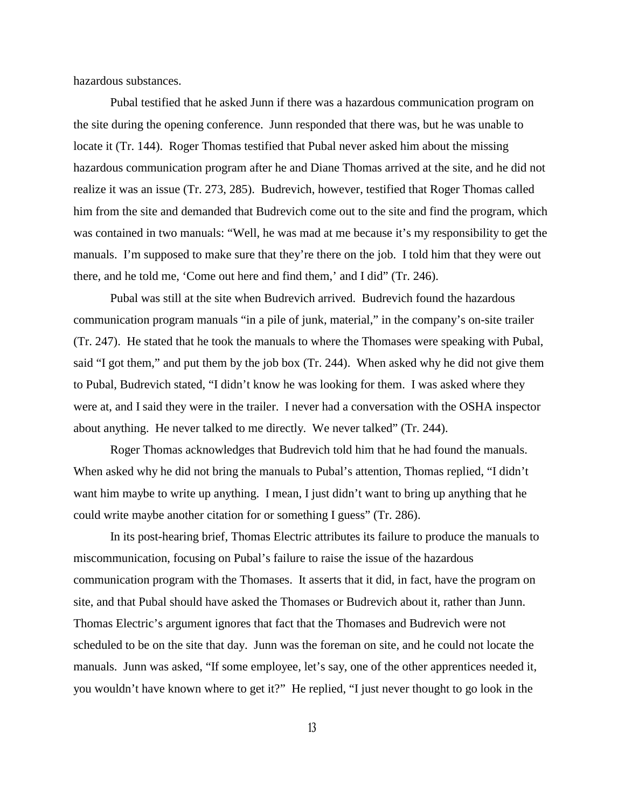hazardous substances.

Pubal testified that he asked Junn if there was a hazardous communication program on the site during the opening conference. Junn responded that there was, but he was unable to locate it (Tr. 144). Roger Thomas testified that Pubal never asked him about the missing hazardous communication program after he and Diane Thomas arrived at the site, and he did not realize it was an issue (Tr. 273, 285). Budrevich, however, testified that Roger Thomas called him from the site and demanded that Budrevich come out to the site and find the program, which was contained in two manuals: "Well, he was mad at me because it's my responsibility to get the manuals. I'm supposed to make sure that they're there on the job. I told him that they were out there, and he told me, 'Come out here and find them,' and I did" (Tr. 246).

Pubal was still at the site when Budrevich arrived. Budrevich found the hazardous communication program manuals "in a pile of junk, material," in the company's on-site trailer (Tr. 247). He stated that he took the manuals to where the Thomases were speaking with Pubal, said "I got them," and put them by the job box (Tr. 244). When asked why he did not give them to Pubal, Budrevich stated, "I didn't know he was looking for them. I was asked where they were at, and I said they were in the trailer. I never had a conversation with the OSHA inspector about anything. He never talked to me directly. We never talked" (Tr. 244).

Roger Thomas acknowledges that Budrevich told him that he had found the manuals. When asked why he did not bring the manuals to Pubal's attention, Thomas replied, "I didn't want him maybe to write up anything. I mean, I just didn't want to bring up anything that he could write maybe another citation for or something I guess" (Tr. 286).

In its post-hearing brief, Thomas Electric attributes its failure to produce the manuals to miscommunication, focusing on Pubal's failure to raise the issue of the hazardous communication program with the Thomases. It asserts that it did, in fact, have the program on site, and that Pubal should have asked the Thomases or Budrevich about it, rather than Junn. Thomas Electric's argument ignores that fact that the Thomases and Budrevich were not scheduled to be on the site that day. Junn was the foreman on site, and he could not locate the manuals. Junn was asked, "If some employee, let's say, one of the other apprentices needed it, you wouldn't have known where to get it?" He replied, "I just never thought to go look in the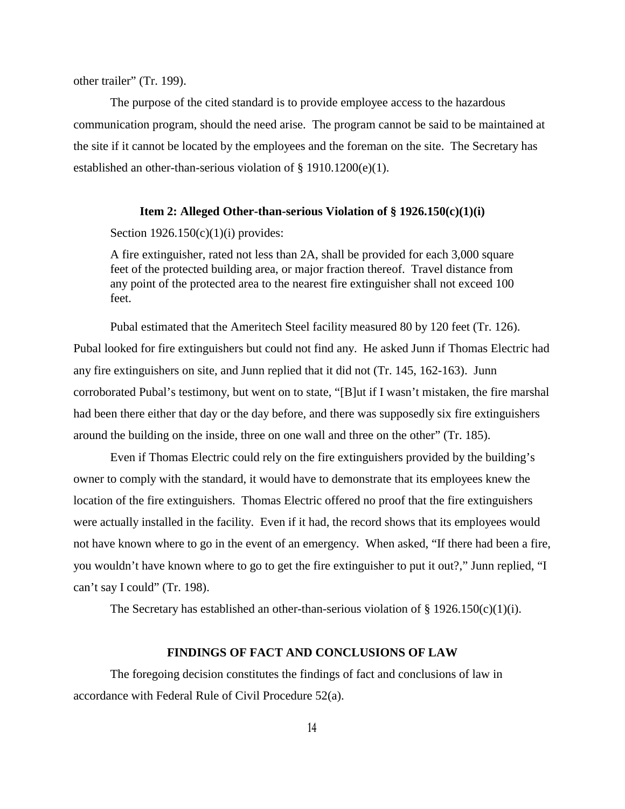other trailer" (Tr. 199).

The purpose of the cited standard is to provide employee access to the hazardous communication program, should the need arise. The program cannot be said to be maintained at the site if it cannot be located by the employees and the foreman on the site. The Secretary has established an other-than-serious violation of § 1910.1200(e)(1).

### **Item 2: Alleged Other-than-serious Violation of § 1926.150(c)(1)(i)**

Section  $1926.150(c)(1)(i)$  provides:

A fire extinguisher, rated not less than 2A, shall be provided for each 3,000 square feet of the protected building area, or major fraction thereof. Travel distance from any point of the protected area to the nearest fire extinguisher shall not exceed 100 feet.

Pubal estimated that the Ameritech Steel facility measured 80 by 120 feet (Tr. 126). Pubal looked for fire extinguishers but could not find any. He asked Junn if Thomas Electric had any fire extinguishers on site, and Junn replied that it did not (Tr. 145, 162-163). Junn corroborated Pubal's testimony, but went on to state, "[B]ut if I wasn't mistaken, the fire marshal had been there either that day or the day before, and there was supposedly six fire extinguishers around the building on the inside, three on one wall and three on the other" (Tr. 185).

Even if Thomas Electric could rely on the fire extinguishers provided by the building's owner to comply with the standard, it would have to demonstrate that its employees knew the location of the fire extinguishers. Thomas Electric offered no proof that the fire extinguishers were actually installed in the facility. Even if it had, the record shows that its employees would not have known where to go in the event of an emergency. When asked, "If there had been a fire, you wouldn't have known where to go to get the fire extinguisher to put it out?," Junn replied, "I can't say I could" (Tr. 198).

The Secretary has established an other-than-serious violation of  $\S 1926.150(c)(1)(i)$ .

# **FINDINGS OF FACT AND CONCLUSIONS OF LAW**

The foregoing decision constitutes the findings of fact and conclusions of law in accordance with Federal Rule of Civil Procedure 52(a).